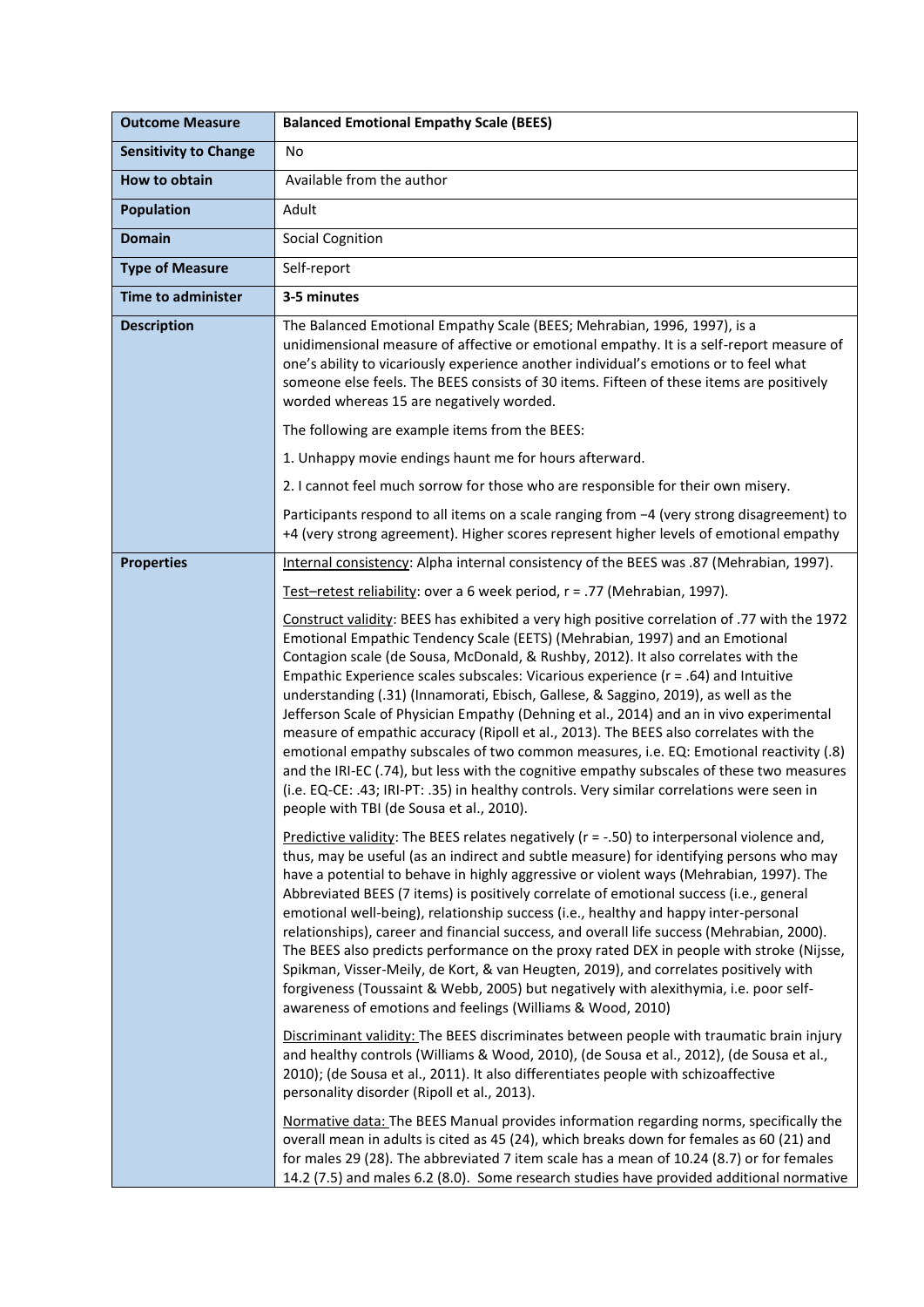| <b>Outcome Measure</b>       | <b>Balanced Emotional Empathy Scale (BEES)</b>                                                                                                                                                                                                                                                                                                                                                                                                                                                                                                                                                                                                                                                                                                                                                                                                                                                                                                                                                                                                                                                                                                                                                                                                                                                                                      |
|------------------------------|-------------------------------------------------------------------------------------------------------------------------------------------------------------------------------------------------------------------------------------------------------------------------------------------------------------------------------------------------------------------------------------------------------------------------------------------------------------------------------------------------------------------------------------------------------------------------------------------------------------------------------------------------------------------------------------------------------------------------------------------------------------------------------------------------------------------------------------------------------------------------------------------------------------------------------------------------------------------------------------------------------------------------------------------------------------------------------------------------------------------------------------------------------------------------------------------------------------------------------------------------------------------------------------------------------------------------------------|
| <b>Sensitivity to Change</b> | No                                                                                                                                                                                                                                                                                                                                                                                                                                                                                                                                                                                                                                                                                                                                                                                                                                                                                                                                                                                                                                                                                                                                                                                                                                                                                                                                  |
| How to obtain                | Available from the author                                                                                                                                                                                                                                                                                                                                                                                                                                                                                                                                                                                                                                                                                                                                                                                                                                                                                                                                                                                                                                                                                                                                                                                                                                                                                                           |
| <b>Population</b>            | Adult                                                                                                                                                                                                                                                                                                                                                                                                                                                                                                                                                                                                                                                                                                                                                                                                                                                                                                                                                                                                                                                                                                                                                                                                                                                                                                                               |
| <b>Domain</b>                | <b>Social Cognition</b>                                                                                                                                                                                                                                                                                                                                                                                                                                                                                                                                                                                                                                                                                                                                                                                                                                                                                                                                                                                                                                                                                                                                                                                                                                                                                                             |
| <b>Type of Measure</b>       | Self-report                                                                                                                                                                                                                                                                                                                                                                                                                                                                                                                                                                                                                                                                                                                                                                                                                                                                                                                                                                                                                                                                                                                                                                                                                                                                                                                         |
| <b>Time to administer</b>    | 3-5 minutes                                                                                                                                                                                                                                                                                                                                                                                                                                                                                                                                                                                                                                                                                                                                                                                                                                                                                                                                                                                                                                                                                                                                                                                                                                                                                                                         |
| <b>Description</b>           | The Balanced Emotional Empathy Scale (BEES; Mehrabian, 1996, 1997), is a<br>unidimensional measure of affective or emotional empathy. It is a self-report measure of<br>one's ability to vicariously experience another individual's emotions or to feel what<br>someone else feels. The BEES consists of 30 items. Fifteen of these items are positively<br>worded whereas 15 are negatively worded.                                                                                                                                                                                                                                                                                                                                                                                                                                                                                                                                                                                                                                                                                                                                                                                                                                                                                                                               |
|                              | The following are example items from the BEES:                                                                                                                                                                                                                                                                                                                                                                                                                                                                                                                                                                                                                                                                                                                                                                                                                                                                                                                                                                                                                                                                                                                                                                                                                                                                                      |
|                              | 1. Unhappy movie endings haunt me for hours afterward.                                                                                                                                                                                                                                                                                                                                                                                                                                                                                                                                                                                                                                                                                                                                                                                                                                                                                                                                                                                                                                                                                                                                                                                                                                                                              |
|                              | 2. I cannot feel much sorrow for those who are responsible for their own misery.                                                                                                                                                                                                                                                                                                                                                                                                                                                                                                                                                                                                                                                                                                                                                                                                                                                                                                                                                                                                                                                                                                                                                                                                                                                    |
|                              | Participants respond to all items on a scale ranging from -4 (very strong disagreement) to<br>+4 (very strong agreement). Higher scores represent higher levels of emotional empathy                                                                                                                                                                                                                                                                                                                                                                                                                                                                                                                                                                                                                                                                                                                                                                                                                                                                                                                                                                                                                                                                                                                                                |
| <b>Properties</b>            | Internal consistency: Alpha internal consistency of the BEES was .87 (Mehrabian, 1997).                                                                                                                                                                                                                                                                                                                                                                                                                                                                                                                                                                                                                                                                                                                                                                                                                                                                                                                                                                                                                                                                                                                                                                                                                                             |
|                              | Test-retest reliability: over a 6 week period, r = .77 (Mehrabian, 1997).                                                                                                                                                                                                                                                                                                                                                                                                                                                                                                                                                                                                                                                                                                                                                                                                                                                                                                                                                                                                                                                                                                                                                                                                                                                           |
|                              | Construct validity: BEES has exhibited a very high positive correlation of .77 with the 1972<br>Emotional Empathic Tendency Scale (EETS) (Mehrabian, 1997) and an Emotional<br>Contagion scale (de Sousa, McDonald, & Rushby, 2012). It also correlates with the<br>Empathic Experience scales subscales: Vicarious experience ( $r = .64$ ) and Intuitive<br>understanding (.31) (Innamorati, Ebisch, Gallese, & Saggino, 2019), as well as the<br>Jefferson Scale of Physician Empathy (Dehning et al., 2014) and an in vivo experimental<br>measure of empathic accuracy (Ripoll et al., 2013). The BEES also correlates with the<br>emotional empathy subscales of two common measures, i.e. EQ: Emotional reactivity (.8)<br>and the IRI-EC (.74), but less with the cognitive empathy subscales of these two measures<br>(i.e. EQ-CE: .43; IRI-PT: .35) in healthy controls. Very similar correlations were seen in<br>people with TBI (de Sousa et al., 2010).                                                                                                                                                                                                                                                                                                                                                               |
|                              | Predictive validity: The BEES relates negatively ( $r = -.50$ ) to interpersonal violence and,<br>thus, may be useful (as an indirect and subtle measure) for identifying persons who may<br>have a potential to behave in highly aggressive or violent ways (Mehrabian, 1997). The<br>Abbreviated BEES (7 items) is positively correlate of emotional success (i.e., general<br>emotional well-being), relationship success (i.e., healthy and happy inter-personal<br>relationships), career and financial success, and overall life success (Mehrabian, 2000).<br>The BEES also predicts performance on the proxy rated DEX in people with stroke (Nijsse,<br>Spikman, Visser-Meily, de Kort, & van Heugten, 2019), and correlates positively with<br>forgiveness (Toussaint & Webb, 2005) but negatively with alexithymia, i.e. poor self-<br>awareness of emotions and feelings (Williams & Wood, 2010)<br>Discriminant validity: The BEES discriminates between people with traumatic brain injury<br>and healthy controls (Williams & Wood, 2010), (de Sousa et al., 2012), (de Sousa et al.,<br>2010); (de Sousa et al., 2011). It also differentiates people with schizoaffective<br>personality disorder (Ripoll et al., 2013).<br>Normative data: The BEES Manual provides information regarding norms, specifically the |
|                              | overall mean in adults is cited as 45 (24), which breaks down for females as 60 (21) and<br>for males 29 (28). The abbreviated 7 item scale has a mean of 10.24 (8.7) or for females<br>14.2 (7.5) and males 6.2 (8.0). Some research studies have provided additional normative                                                                                                                                                                                                                                                                                                                                                                                                                                                                                                                                                                                                                                                                                                                                                                                                                                                                                                                                                                                                                                                    |